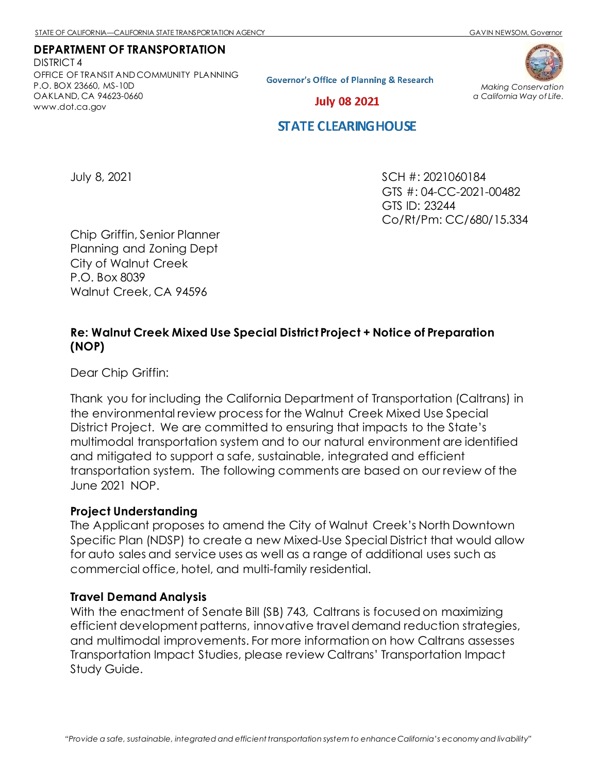### **DEPARTMENT OF TRANSPORTATION**

DISTRICT 4 OFFICE OF TRANSIT AND COMMUNITY PLANNING P.O. BOX 23660, MS-10D OAKLAND, CA 94623-0660 [www.dot.ca.gov](http://www.dot.ca.gov/)

**Governor's Office of Planning & Research** 



*Making Conservation a California Way of Life.*

**July 08 2021** 

# **STATE CLEARING HOUSE**

July 8, 2021 SCH #: 2021060184 GTS #: 04-CC-2021-00482 GTS ID: 23244 Co/Rt/Pm: CC/680/15.334

Chip Griffin, Senior Planner Planning and Zoning Dept City of Walnut Creek P.O. Box 8039 Walnut Creek, CA 94596

# **Re: Walnut Creek Mixed Use Special District Project + Notice of Preparation (NOP)**

Dear Chip Griffin:

Thank you for including the California Department of Transportation (Caltrans) in the environmental review process for the Walnut Creek Mixed Use Special District Project. We are committed to ensuring that impacts to the State's multimodal transportation system and to our natural environment are identified and mitigated to support a safe, sustainable, integrated and efficient transportation system. The following comments are based on our review of the June 2021 NOP.

# **Project Understanding**

The Applicant proposes to amend the City of Walnut Creek's North Downtown Specific Plan (NDSP) to create a new Mixed-Use Special District that would allow for auto sales and service uses as well as a range of additional uses such as commercial office, hotel, and multi-family residential.

#### **Travel Demand Analysis**

With the enactment of Senate Bill (SB) 743, Caltrans is focused on maximizing efficient development patterns, innovative travel demand reduction strategies, and multimodal improvements. For more information on how Caltrans assesses Transportation Impact Studies, please review Caltrans' [Transportation Impact](https://dot.ca.gov/-/media/dot-media/programs/transportation-planning/documents/sb-743/2020-05-20-approved-vmt-focused-tisg-a11y.pdf)  [Study Guide.](https://dot.ca.gov/-/media/dot-media/programs/transportation-planning/documents/sb-743/2020-05-20-approved-vmt-focused-tisg-a11y.pdf)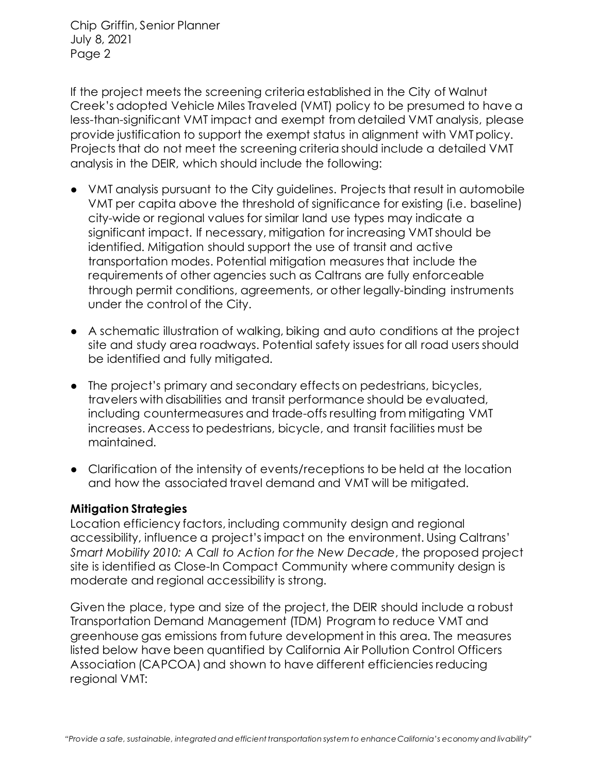Chip Griffin, Senior Planner July 8, 2021 Page 2

If the project meets the screening criteria established in the City of Walnut Creek's adopted Vehicle Miles Traveled (VMT) policy to be presumed to have a less-than-significant VMT impact and exempt from detailed VMT analysis, please provide justification to support the exempt status in alignment with VMT policy. Projects that do not meet the screening criteria should include a detailed VMT analysis in the DEIR, which should include the following:

- VMT analysis pursuant to the City guidelines. Projects that result in automobile VMT per capita above the threshold of significance for existing (i.e. baseline) city-wide or regional values for similar land use types may indicate a significant impact. If necessary, mitigation for increasing VMT should be identified. Mitigation should support the use of transit and active transportation modes. Potential mitigation measures that include the requirements of other agencies such as Caltrans are fully enforceable through permit conditions, agreements, or other legally-binding instruments under the control of the City.
- A schematic illustration of walking, biking and auto conditions at the project site and study area roadways. Potential safety issues for all road users should be identified and fully mitigated.
- The project's primary and secondary effects on pedestrians, bicycles, travelers with disabilities and transit performance should be evaluated, including countermeasures and trade-offs resulting from mitigating VMT increases. Access to pedestrians, bicycle, and transit facilities must be maintained.
- Clarification of the intensity of events/receptions to be held at the location and how the associated travel demand and VMT will be mitigated.

# **Mitigation Strategies**

Location efficiency factors, including community design and regional accessibility, influence a project's impact on the environment. Using Caltrans' *Smart Mobility 2010: A Call to Action for the New Decade*, the proposed project site is identified as Close-In Compact Community where community design is moderate and regional accessibility is strong.

Given the place, type and size of the project, the DEIR should include a robust Transportation Demand Management (TDM) Program to reduce VMT and greenhouse gas emissions from future development in this area. The measures listed below have been quantified by California Air Pollution Control Officers Association (CAPCOA) and shown to have different efficiencies reducing regional VMT: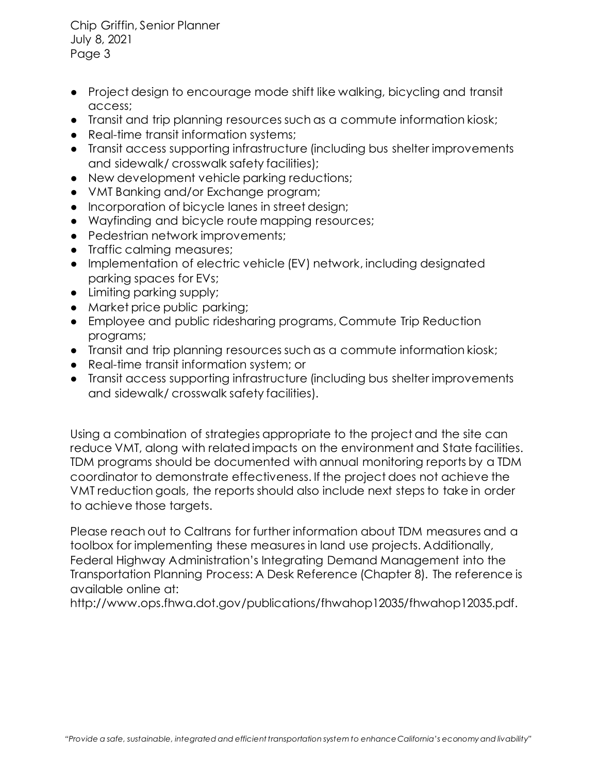Chip Griffin, Senior Planner July 8, 2021 Page 3

- Project design to encourage mode shift like walking, bicycling and transit access;
- Transit and trip planning resources such as a commute information kiosk;
- Real-time transit information systems:
- Transit access supporting infrastructure (including bus shelter improvements and sidewalk/ crosswalk safety facilities);
- New development vehicle parking reductions;
- VMT Banking and/or Exchange program;
- Incorporation of bicycle lanes in street design;
- Wayfinding and bicycle route mapping resources;
- Pedestrian network improvements;
- Traffic calming measures;
- Implementation of electric vehicle (EV) network, including designated parking spaces for EVs;
- Limiting parking supply;
- Market price public parking;
- Employee and public ridesharing programs, Commute Trip Reduction programs;
- Transit and trip planning resources such as a commute information kiosk;
- Real-time transit information system; or
- Transit access supporting infrastructure (including bus shelter improvements and sidewalk/ crosswalk safety facilities).

Using a combination of strategies appropriate to the project and the site can reduce VMT, along with related impacts on the environment and State facilities. TDM programs should be documented with annual monitoring reports by a TDM coordinator to demonstrate effectiveness. If the project does not achieve the VMT reduction goals, the reports should also include next steps to take in order to achieve those targets.

Please reach out to Caltrans for further information about TDM measures and a toolbox for implementing these measures in land use projects. Additionally, Federal Highway Administration's Integrating Demand Management into the Transportation Planning Process: A Desk Reference (Chapter 8). The reference is available online at:

http://www.ops.fhwa.dot.gov/publications/fhwahop12035/fhwahop12035.pdf.